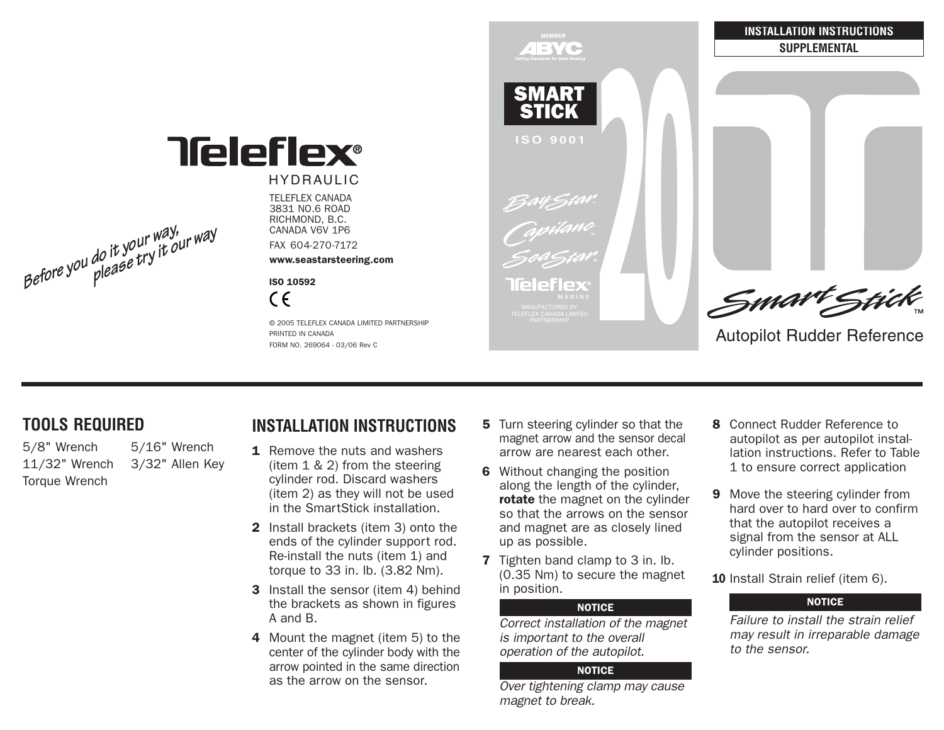

### HYDRAULIC

TELEFLEX CANADA 3831 NO.6 ROAD RICHMOND, B.C. CANADA V6V 1P6

FAX 604-270-7172

www.seastarsteering.com

ISO 10592 $\epsilon$ 

© 2005 TELEFLEX CANADA LIMITED PARTNERSHIPPRINTED IN CANADAFORM NO. 269064 - 03/06 Rev C



## **TOOLS REQUIRED**

**Before yo<sup>u</sup> do it your way, <sup>p</sup>lease try it ou<sup>r</sup> way**

5/8" Wrench 5/16" Wrench 11/32" Wrench 3/32" Allen Key Torque Wrench

# **INSTALLATION INSTRUCTIONS**1 Remove the nuts and washers

- (item 1 & 2) from the steering cylinder rod. Discard washers (item 2) as they will not be used in the SmartStick installation.
- 2 Install brackets (item 3) onto the ends of the cylinder support rod. Re-install the nuts (item 1) and torque to 33 in. lb. (3.82 Nm).
- **3** Install the sensor (item 4) behind the brackets as shown in figures A and B.
- 4 Mount the magnet (item 5) to the center of the cylinder body with the arrow pointed in the same direction as the arrow on the sensor.
- **5** Turn steering cylinder so that the magnet arrow and the sensor decal arrow are nearest each other.
- **6** Without changing the position along the length of the cylinder, **rotate** the magnet on the cylinder so that the arrows on the sensor and magnet are as closely lined up as possible.
- **7** Tighten band clamp to 3 in. Ib. (0.35 Nm) to secure the magnet in position.

#### **NOTICE**

Correct installation of the magnet is important to the overall operation of the autopilot.

### **NOTICE**

Over tightening clamp may cause magnet to break.

- 8 Connect Rudder Reference to autopilot as per autopilot installation instructions. Refer to Table1 to ensure correct application
- **9** Move the steering cylinder from hard over to hard over to confirmthat the autopilot receives a signal from the sensor at ALL cylinder positions.
- **10** Install Strain relief (item 6).

## E NOTICE

Failure to install the strain reliefmay result in irreparable damage to the sensor.